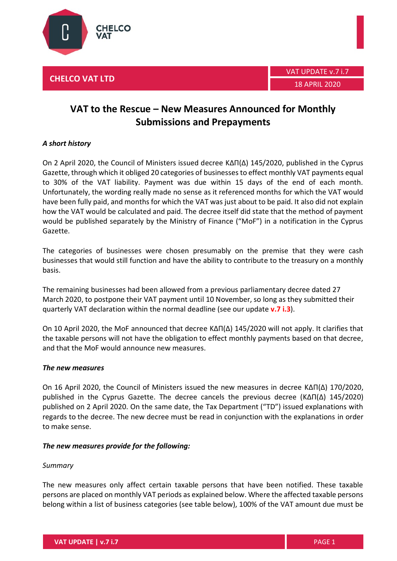





# **VAT to the Rescue – New Measures Announced for Monthly Submissions and Prepayments**

# *A short history*

On 2 April 2020, the Council of Ministers issued decree ΚΔΠ(Δ) 145/2020, published in the Cyprus Gazette, through which it obliged 20 categories of businesses to effect monthly VAT payments equal to 30% of the VAT liability. Payment was due within 15 days of the end of each month. Unfortunately, the wording really made no sense as it referenced months for which the VAT would have been fully paid, and months for which the VAT was just about to be paid. It also did not explain how the VAT would be calculated and paid. The decree itself did state that the method of payment would be published separately by the Ministry of Finance ("MoF") in a notification in the Cyprus Gazette.

The categories of businesses were chosen presumably on the premise that they were cash businesses that would still function and have the ability to contribute to the treasury on a monthly basis.

The remaining businesses had been allowed from a previous parliamentary decree dated 27 March 2020, to postpone their VAT payment until 10 November, so long as they submitted their quarterly VAT declaration within the normal deadline (see our update **[v.7](https://www.chelcovat.com/vat-to-the-rescue-penalties-and-interest-waived/) i.3**).

On 10 April 2020, the MoF announced that decree ΚΔΠ(Δ) 145/2020 will not apply. It clarifies that the taxable persons will not have the obligation to effect monthly payments based on that decree, and that the MoF would announce new measures.

#### *The new measures*

On 16 April 2020, the Council of Ministers issued the new measures in decree ΚΔΠ(Δ) 170/2020, published in the Cyprus Gazette. The decree cancels the previous decree (ΚΔΠ(Δ) 145/2020) published on 2 April 2020. On the same date, the Tax Department ("TD") issued explanations with regards to the decree. The new decree must be read in conjunction with the explanations in order to make sense.

## *The new measures provide for the following:*

#### *Summary*

The new measures only affect certain taxable persons that have been notified. These taxable persons are placed on monthly VAT periods as explained below. Where the affected taxable persons belong within a list of business categories (see table below), 100% of the VAT amount due must be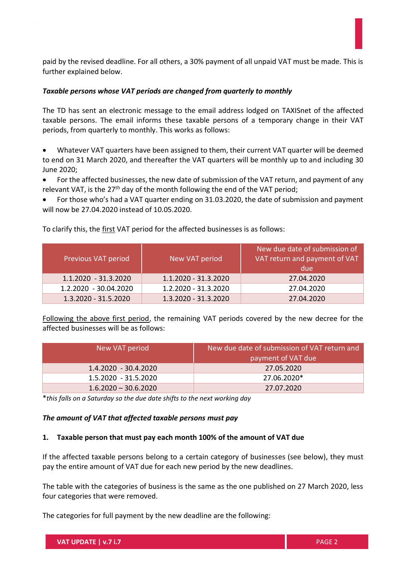paid by the revised deadline. For all others, a 30% payment of all unpaid VAT must be made. This is further explained below.

## *Taxable persons whose VAT periods are changed from quarterly to monthly*

The TD has sent an electronic message to the email address lodged on TAXISnet of the affected taxable persons. The email informs these taxable persons of a temporary change in their VAT periods, from quarterly to monthly. This works as follows:

- Whatever VAT quarters have been assigned to them, their current VAT quarter will be deemed to end on 31 March 2020, and thereafter the VAT quarters will be monthly up to and including 30 June 2020;
- For the affected businesses, the new date of submission of the VAT return, and payment of any relevant VAT, is the 27<sup>th</sup> day of the month following the end of the VAT period;

 For those who's had a VAT quarter ending on 31.03.2020, the date of submission and payment will now be 27.04.2020 instead of 10.05.2020.

To clarify this, the first VAT period for the affected businesses is as follows:

| Previous VAT period   | New VAT period       | New due date of submission of<br>VAT return and payment of VAT<br>due |
|-----------------------|----------------------|-----------------------------------------------------------------------|
| 1.1.2020 - 31.3.2020  | 1.1.2020 - 31.3.2020 | 27.04.2020                                                            |
| 1.2.2020 - 30.04.2020 | 1.2.2020 - 31.3.2020 | 27.04.2020                                                            |
| 1.3.2020 - 31.5.2020  | 1.3.2020 - 31.3.2020 | 27.04.2020                                                            |

Following the above first period, the remaining VAT periods covered by the new decree for the affected businesses will be as follows:

| New VAT period         | New due date of submission of VAT return and<br>payment of VAT due |
|------------------------|--------------------------------------------------------------------|
| 1.4.2020 - 30.4.2020   | 27.05.2020                                                         |
| 1.5.2020 - 31.5.2020   | 27.06.2020*                                                        |
| $1.6.2020 - 30.6.2020$ | 27.07.2020                                                         |

\**this falls on a Saturday so the due date shifts to the next working day*

#### *The amount of VAT that affected taxable persons must pay*

## **1. Taxable person that must pay each month 100% of the amount of VAT due**

If the affected taxable persons belong to a certain category of businesses (see below), they must pay the entire amount of VAT due for each new period by the new deadlines.

The table with the categories of business is the same as the one published on 27 March 2020, less four categories that were removed.

The categories for full payment by the new deadline are the following: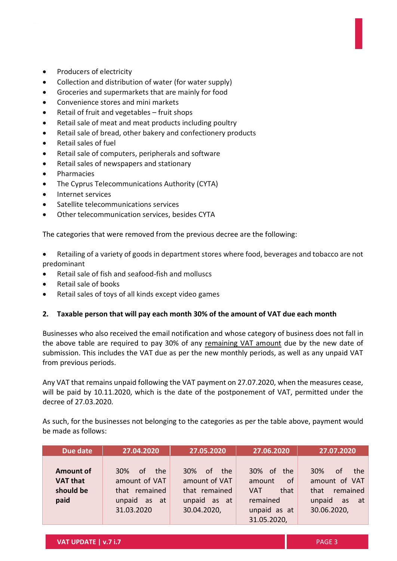- Producers of electricity
- Collection and distribution of water (for water supply)
- Groceries and supermarkets that are mainly for food
- Convenience stores and mini markets
- Retail of fruit and vegetables fruit shops
- Retail sale of meat and meat products including poultry
- Retail sale of bread, other bakery and confectionery products
- Retail sales of fuel
- Retail sale of computers, peripherals and software
- Retail sales of newspapers and stationary
- Pharmacies
- The Cyprus Telecommunications Authority (CYTA)
- Internet services
- Satellite telecommunications services
- Other telecommunication services, besides CYTA

The categories that were removed from the previous decree are the following:

- Retailing of a variety of goods in department stores where food, beverages and tobacco are not predominant
- Retail sale of fish and seafood-fish and molluscs
- Retail sale of books
- Retail sales of toys of all kinds except video games

## **2. Taxable person that will pay each month 30% of the amount of VAT due each month**

Businesses who also received the email notification and whose category of business does not fall in the above table are required to pay 30% of any remaining VAT amount due by the new date of submission. This includes the VAT due as per the new monthly periods, as well as any unpaid VAT from previous periods.

Any VAT that remains unpaid following the VAT payment on 27.07.2020, when the measures cease, will be paid by 10.11.2020, which is the date of the postponement of VAT, permitted under the decree of 27.03.2020.

As such, for the businesses not belonging to the categories as per the table above, payment would be made as follows:

| Due date                                                 | 27.04.2020                                                                       | 27.05.2020                                                                           | 27.06.2020                                                                                     | 27.07.2020                                                                                    |
|----------------------------------------------------------|----------------------------------------------------------------------------------|--------------------------------------------------------------------------------------|------------------------------------------------------------------------------------------------|-----------------------------------------------------------------------------------------------|
| <b>Amount of</b><br><b>VAT that</b><br>should be<br>paid | the<br>30%<br>of<br>amount of VAT<br>that remained<br>unpaid as at<br>31.03.2020 | the<br>0f<br>$30\%$<br>amount of VAT<br>that remained<br>unpaid as at<br>30.04.2020, | the<br>30% of<br>of<br>amount<br>that<br><b>VAT</b><br>remained<br>unpaid as at<br>31.05.2020, | 30%<br>0f<br>the<br>amount of VAT<br>remained<br>that<br>unpaid<br>as<br>at at<br>30.06.2020, |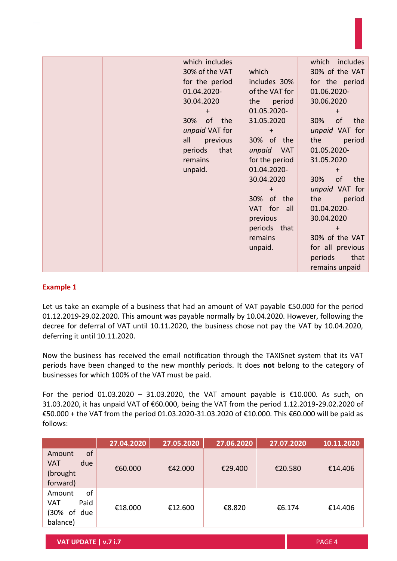| which includes  |                | which includes   |
|-----------------|----------------|------------------|
| 30% of the VAT  | which          | 30% of the VAT   |
| for the period  | includes 30%   | for the period   |
| 01.04.2020-     | of the VAT for | 01.06.2020-      |
| 30.04.2020      | period<br>the  | 30.06.2020       |
| $+$             | 01.05.2020-    | $+$              |
| of the<br>30%   | 31.05.2020     | of<br>30%<br>the |
| unpaid VAT for  | $+$            | unpaid VAT for   |
| all<br>previous | 30% of the     | the<br>period    |
| that<br>periods | unpaid VAT     | 01.05.2020-      |
| remains         | for the period | 31.05.2020       |
| unpaid.         | 01.04.2020-    | $+$              |
|                 | 30.04.2020     | 30%<br>of<br>the |
|                 | $+$            | unpaid VAT for   |
|                 | 30% of the     | the<br>period    |
|                 | VAT for<br>all | 01.04.2020-      |
|                 | previous       | 30.04.2020       |
|                 | periods that   | $+$              |
|                 | remains        | 30% of the VAT   |
|                 | unpaid.        | for all previous |
|                 |                | that<br>periods  |
|                 |                | remains unpaid   |

## **Example 1**

Let us take an example of a business that had an amount of VAT payable €50.000 for the period 01.12.2019-29.02.2020. This amount was payable normally by 10.04.2020. However, following the decree for deferral of VAT until 10.11.2020, the business chose not pay the VAT by 10.04.2020, deferring it until 10.11.2020.

Now the business has received the email notification through the TAXISnet system that its VAT periods have been changed to the new monthly periods. It does **not** belong to the category of businesses for which 100% of the VAT must be paid.

For the period 01.03.2020 – 31.03.2020, the VAT amount payable is  $£10.000$ . As such, on 31.03.2020, it has unpaid VAT of €60.000, being the VAT from the period 1.12.2019-29.02.2020 of €50.000 + the VAT from the period 01.03.2020-31.03.2020 of €10.000. This €60.000 will be paid as follows:

|                                                           | 27.04.2020 | 27.05.2020 | 27.06.2020 | 27.07.2020 | 10.11.2020 |
|-----------------------------------------------------------|------------|------------|------------|------------|------------|
| of<br>Amount<br>due<br>VAT<br>(brought<br>forward)        | €60.000    | €42.000    | €29.400    | €20.580    | €14.406    |
| of<br>Amount<br>Paid<br>VAT<br>(30% of<br>due<br>balance) | €18.000    | €12.600    | €8.820     | €6.174     | €14.406    |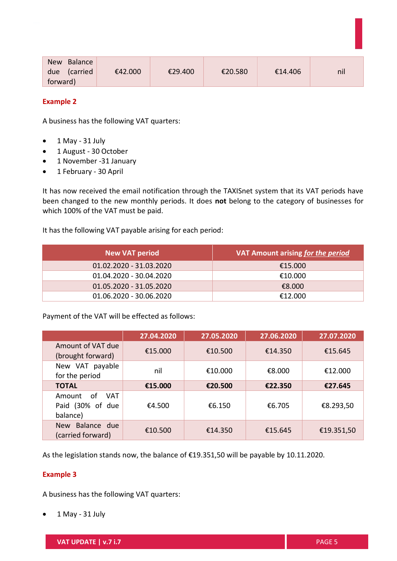| <b>New</b><br>Balance<br>due (carried | €42.000 | €29.400 | €20.580 | €14.406 | nil |
|---------------------------------------|---------|---------|---------|---------|-----|
| forward)                              |         |         |         |         |     |

# **Example 2**

A business has the following VAT quarters:

- $\bullet$  1 May 31 July
- 1 August 30 October
- 1 November -31 January
- 1 February 30 April

It has now received the email notification through the TAXISnet system that its VAT periods have been changed to the new monthly periods. It does **not** belong to the category of businesses for which 100% of the VAT must be paid.

It has the following VAT payable arising for each period:

| <b>New VAT period</b>   | VAT Amount arising for the period |
|-------------------------|-----------------------------------|
| 01.02.2020 - 31.03.2020 | €15.000                           |
| 01.04.2020 - 30.04.2020 | €10.000                           |
| 01.05.2020 - 31.05.2020 | €8.000                            |
| 01.06.2020 - 30.06.2020 | €12.000                           |

Payment of the VAT will be effected as follows:

|                                                            | 27.04.2020 | 27.05.2020 | 27.06.2020 | 27.07.2020 |
|------------------------------------------------------------|------------|------------|------------|------------|
| Amount of VAT due<br>(brought forward)                     | €15.000    | €10.500    | €14.350    | €15.645    |
| New VAT payable<br>for the period                          | nil        | €10.000    | €8.000     | €12.000    |
| <b>TOTAL</b>                                               | €15.000    | €20.500    | €22.350    | €27.645    |
| of<br><b>VAT</b><br>Amount<br>Paid (30% of due<br>balance) | €4.500     | €6.150     | €6.705     | €8.293,50  |
| Balance due<br><b>New</b><br>(carried forward)             | €10.500    | €14.350    | €15.645    | €19.351,50 |

As the legislation stands now, the balance of €19.351,50 will be payable by 10.11.2020.

# **Example 3**

A business has the following VAT quarters:

 $\bullet$  1 May - 31 July